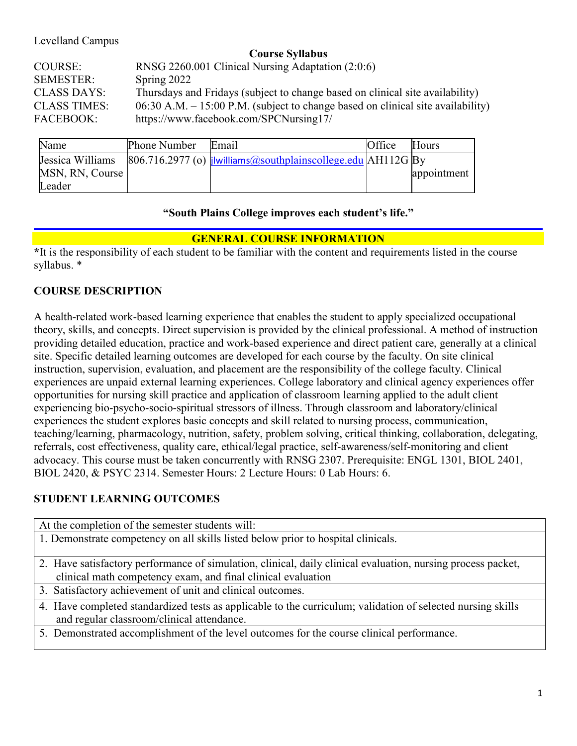Levelland Campus

| <b>Course Syllabus</b> |                                                                                 |  |
|------------------------|---------------------------------------------------------------------------------|--|
| COURSE:                | RNSG 2260.001 Clinical Nursing Adaptation (2:0:6)                               |  |
| <b>SEMESTER:</b>       | Spring 2022                                                                     |  |
| <b>CLASS DAYS:</b>     | Thursdays and Fridays (subject to change based on clinical site availability)   |  |
| <b>CLASS TIMES:</b>    | 06:30 A.M. – 15:00 P.M. (subject to change based on clinical site availability) |  |

FACEBOOK: <https://www.facebook.com/SPCNursing17/>

| Name             | Phone Number | Email                                                                                        | Office | Hours       |
|------------------|--------------|----------------------------------------------------------------------------------------------|--------|-------------|
| Jessica Williams |              | $\left[806.716.2977\right]$ (o) $\frac{1}{2}$ livilliams (assouthplainscollege edu AH112G By |        |             |
| MSN, RN, Course  |              |                                                                                              |        | appointment |
| Leader           |              |                                                                                              |        |             |

#### **"South Plains College improves each student's life."**

### **GENERAL COURSE INFORMATION**

**\***It is the responsibility of each student to be familiar with the content and requirements listed in the course syllabus. \*

## **COURSE DESCRIPTION**

A health-related work-based learning experience that enables the student to apply specialized occupational theory, skills, and concepts. Direct supervision is provided by the clinical professional. A method of instruction providing detailed education, practice and work-based experience and direct patient care, generally at a clinical site. Specific detailed learning outcomes are developed for each course by the faculty. On site clinical instruction, supervision, evaluation, and placement are the responsibility of the college faculty. Clinical experiences are unpaid external learning experiences. College laboratory and clinical agency experiences offer opportunities for nursing skill practice and application of classroom learning applied to the adult client experiencing bio-psycho-socio-spiritual stressors of illness. Through classroom and laboratory/clinical experiences the student explores basic concepts and skill related to nursing process, communication, teaching/learning, pharmacology, nutrition, safety, problem solving, critical thinking, collaboration, delegating, referrals, cost effectiveness, quality care, ethical/legal practice, self-awareness/self-monitoring and client advocacy. This course must be taken concurrently with RNSG 2307. Prerequisite: ENGL 1301, BIOL 2401, BIOL 2420, & PSYC 2314. Semester Hours: 2 Lecture Hours: 0 Lab Hours: 6.

# **STUDENT LEARNING OUTCOMES**

| At the completion of the semester students will:                                                             |  |  |
|--------------------------------------------------------------------------------------------------------------|--|--|
| 1. Demonstrate competency on all skills listed below prior to hospital clinicals.                            |  |  |
|                                                                                                              |  |  |
| 2. Have satisfactory performance of simulation, clinical, daily clinical evaluation, nursing process packet, |  |  |
| clinical math competency exam, and final clinical evaluation                                                 |  |  |
| 3. Satisfactory achievement of unit and clinical outcomes.                                                   |  |  |
| 4. Have completed standardized tests as applicable to the curriculum; validation of selected nursing skills  |  |  |
| and regular classroom/clinical attendance.                                                                   |  |  |
| 5. Demonstrated accomplishment of the level outcomes for the course clinical performance.                    |  |  |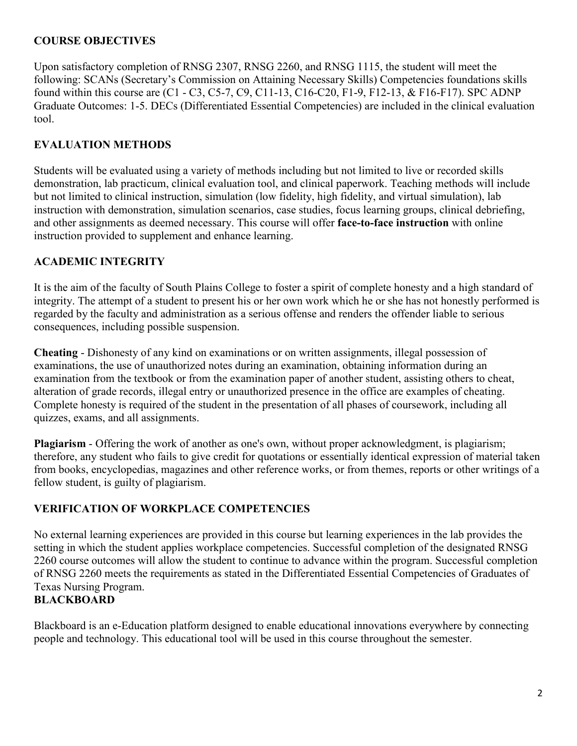#### **COURSE OBJECTIVES**

Upon satisfactory completion of RNSG 2307, RNSG 2260, and RNSG 1115, the student will meet the following: SCANs (Secretary's Commission on Attaining Necessary Skills) Competencies foundations skills found within this course are (C1 - C3, C5-7, C9, C11-13, C16-C20, F1-9, F12-13, & F16-F17). SPC ADNP Graduate Outcomes: 1-5. DECs (Differentiated Essential Competencies) are included in the clinical evaluation tool.

### **EVALUATION METHODS**

Students will be evaluated using a variety of methods including but not limited to live or recorded skills demonstration, lab practicum, clinical evaluation tool, and clinical paperwork. Teaching methods will include but not limited to clinical instruction, simulation (low fidelity, high fidelity, and virtual simulation), lab instruction with demonstration, simulation scenarios, case studies, focus learning groups, clinical debriefing, and other assignments as deemed necessary. This course will offer **face-to-face instruction** with online instruction provided to supplement and enhance learning.

### **ACADEMIC INTEGRITY**

It is the aim of the faculty of South Plains College to foster a spirit of complete honesty and a high standard of integrity. The attempt of a student to present his or her own work which he or she has not honestly performed is regarded by the faculty and administration as a serious offense and renders the offender liable to serious consequences, including possible suspension.

**Cheating** - Dishonesty of any kind on examinations or on written assignments, illegal possession of examinations, the use of unauthorized notes during an examination, obtaining information during an examination from the textbook or from the examination paper of another student, assisting others to cheat, alteration of grade records, illegal entry or unauthorized presence in the office are examples of cheating. Complete honesty is required of the student in the presentation of all phases of coursework, including all quizzes, exams, and all assignments.

**Plagiarism** - Offering the work of another as one's own, without proper acknowledgment, is plagiarism; therefore, any student who fails to give credit for quotations or essentially identical expression of material taken from books, encyclopedias, magazines and other reference works, or from themes, reports or other writings of a fellow student, is guilty of plagiarism.

### **VERIFICATION OF WORKPLACE COMPETENCIES**

No external learning experiences are provided in this course but learning experiences in the lab provides the setting in which the student applies workplace competencies. Successful completion of the designated RNSG 2260 course outcomes will allow the student to continue to advance within the program. Successful completion of RNSG 2260 meets the requirements as stated in the Differentiated Essential Competencies of Graduates of Texas Nursing Program.

#### **BLACKBOARD**

Blackboard is an e-Education platform designed to enable educational innovations everywhere by connecting people and technology. This educational tool will be used in this course throughout the semester.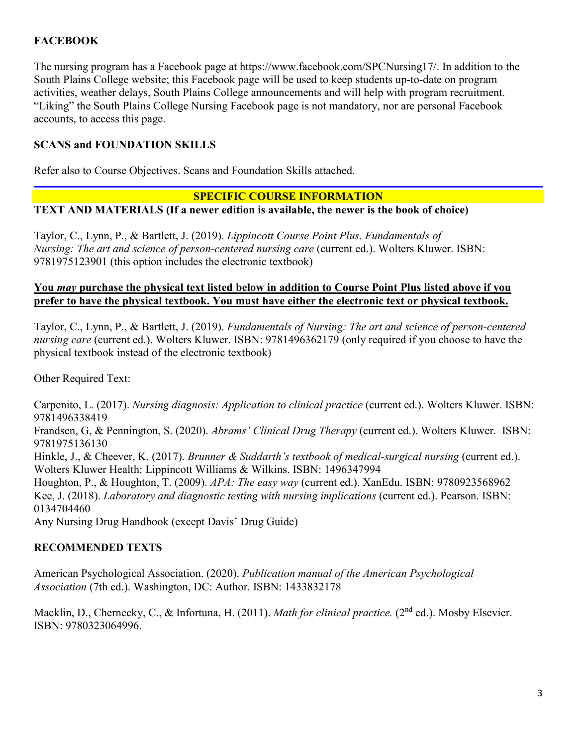## **FACEBOOK**

The nursing program has a Facebook page at https://www.facebook.com/SPCNursing17/. In addition to the South Plains College website; this Facebook page will be used to keep students up-to-date on program activities, weather delays, South Plains College announcements and will help with program recruitment. "Liking" the South Plains College Nursing Facebook page is not mandatory, nor are personal Facebook accounts, to access this page.

#### **SCANS and FOUNDATION SKILLS**

Refer also to Course Objectives. Scans and Foundation Skills attached.

#### **SPECIFIC COURSE INFORMATION**

**TEXT AND MATERIALS (If a newer edition is available, the newer is the book of choice)**

Taylor, C., Lynn, P., & Bartlett, J. (2019). *Lippincott Course Point Plus. Fundamentals of Nursing: The art and science of person-centered nursing care* (current ed.). Wolters Kluwer. ISBN: 9781975123901 (this option includes the electronic textbook)

#### **You** *may* **purchase the physical text listed below in addition to Course Point Plus listed above if you prefer to have the physical textbook. You must have either the electronic text or physical textbook.**

Taylor, C., Lynn, P., & Bartlett, J. (2019). *Fundamentals of Nursing: The art and science of person-centered nursing care* (current ed.). Wolters Kluwer. ISBN: 9781496362179 (only required if you choose to have the physical textbook instead of the electronic textbook)

Other Required Text:

Carpenito, L. (2017). *Nursing diagnosis: Application to clinical practice* (current ed.). Wolters Kluwer. ISBN: 9781496338419

Frandsen, G, & Pennington, S. (2020). *Abrams' Clinical Drug Therapy* (current ed.). Wolters Kluwer. ISBN: 9781975136130

Hinkle, J., & Cheever, K. (2017). *Brunner & Suddarth's textbook of medical-surgical nursing* (current ed.). Wolters Kluwer Health: Lippincott Williams & Wilkins. ISBN: 1496347994

Houghton, P., & Houghton, T. (2009). *APA: The easy way* (current ed.). XanEdu. ISBN: 9780923568962 Kee, J. (2018). *Laboratory and diagnostic testing with nursing implications* (current ed.). Pearson. ISBN: 0134704460

Any Nursing Drug Handbook (except Davis' Drug Guide)

#### **RECOMMENDED TEXTS**

American Psychological Association. (2020). *Publication manual of the American Psychological Association* (7th ed.). Washington, DC: Author. ISBN: 1433832178

Macklin, D., Chernecky, C., & Infortuna, H. (2011). *Math for clinical practice.* (2<sup>nd</sup> ed.). Mosby Elsevier. ISBN: 9780323064996.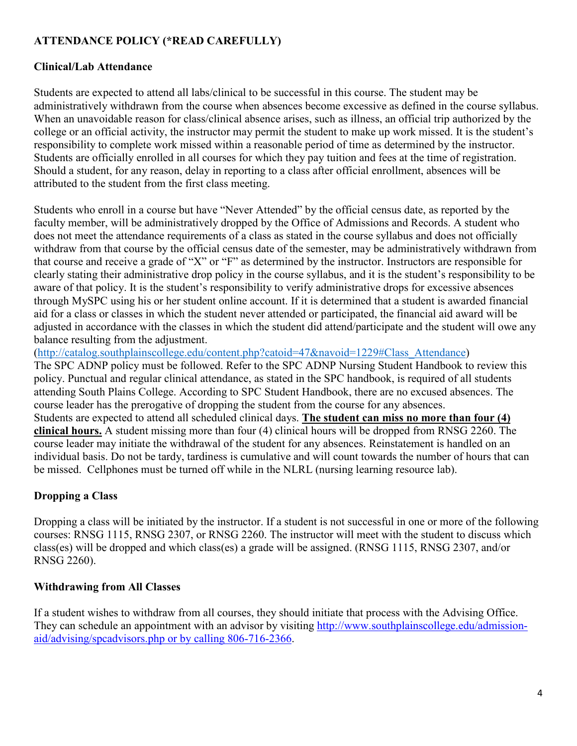## **ATTENDANCE POLICY (\*READ CAREFULLY)**

#### **Clinical/Lab Attendance**

Students are expected to attend all labs/clinical to be successful in this course. The student may be administratively withdrawn from the course when absences become excessive as defined in the course syllabus. When an unavoidable reason for class/clinical absence arises, such as illness, an official trip authorized by the college or an official activity, the instructor may permit the student to make up work missed. It is the student's responsibility to complete work missed within a reasonable period of time as determined by the instructor. Students are officially enrolled in all courses for which they pay tuition and fees at the time of registration. Should a student, for any reason, delay in reporting to a class after official enrollment, absences will be attributed to the student from the first class meeting.

Students who enroll in a course but have "Never Attended" by the official census date, as reported by the faculty member, will be administratively dropped by the Office of Admissions and Records. A student who does not meet the attendance requirements of a class as stated in the course syllabus and does not officially withdraw from that course by the official census date of the semester, may be administratively withdrawn from that course and receive a grade of "X" or "F" as determined by the instructor. Instructors are responsible for clearly stating their administrative drop policy in the course syllabus, and it is the student's responsibility to be aware of that policy. It is the student's responsibility to verify administrative drops for excessive absences through MySPC using his or her student online account. If it is determined that a student is awarded financial aid for a class or classes in which the student never attended or participated, the financial aid award will be adjusted in accordance with the classes in which the student did attend/participate and the student will owe any balance resulting from the adjustment.

[\(http://catalog.southplainscollege.edu/content.php?catoid=47&navoid=1229#Class\\_Attendance\)](http://catalog.southplainscollege.edu/content.php?catoid=47&navoid=1229#Class_Attendance)

The SPC ADNP policy must be followed. Refer to the SPC ADNP Nursing Student Handbook to review this policy. Punctual and regular clinical attendance, as stated in the SPC handbook, is required of all students attending South Plains College. According to SPC Student Handbook, there are no excused absences. The course leader has the prerogative of dropping the student from the course for any absences. Students are expected to attend all scheduled clinical days. **The student can miss no more than four (4) clinical hours.** A student missing more than four (4) clinical hours will be dropped from RNSG 2260. The course leader may initiate the withdrawal of the student for any absences. Reinstatement is handled on an individual basis. Do not be tardy, tardiness is cumulative and will count towards the number of hours that can be missed. Cellphones must be turned off while in the NLRL (nursing learning resource lab).

### **Dropping a Class**

Dropping a class will be initiated by the instructor. If a student is not successful in one or more of the following courses: RNSG 1115, RNSG 2307, or RNSG 2260. The instructor will meet with the student to discuss which class(es) will be dropped and which class(es) a grade will be assigned. (RNSG 1115, RNSG 2307, and/or RNSG 2260).

### **Withdrawing from All Classes**

If a student wishes to withdraw from all courses, they should initiate that process with the Advising Office. They can schedule an appointment with an advisor by visiting [http://www.southplainscollege.edu/admission](http://www.southplainscollege.edu/admission-aid/advising/spcadvisors.php%C2%A0or%20by%20calling%20806-716-2366)[aid/advising/spcadvisors.php](http://www.southplainscollege.edu/admission-aid/advising/spcadvisors.php%C2%A0or%20by%20calling%20806-716-2366) or by calling 806-716-2366.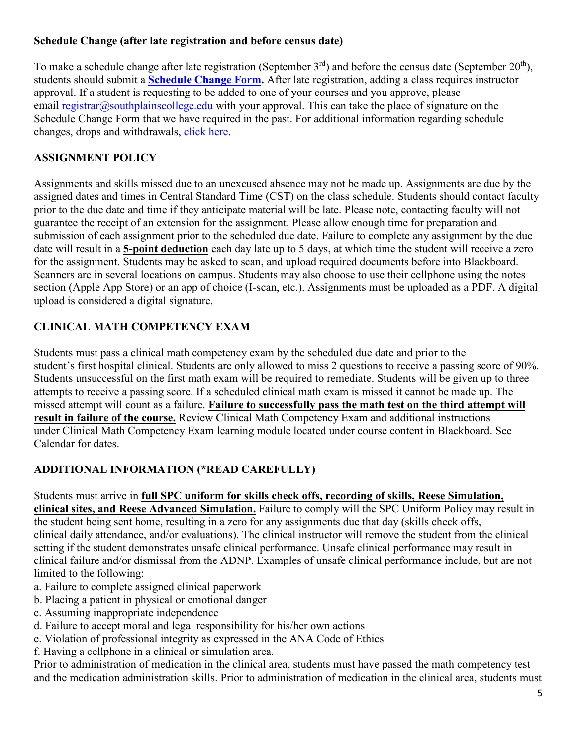## **Schedule Change (after late registration and before census date)**

To make a schedule change after late registration (September  $3<sup>rd</sup>$ ) and before the census date (September  $20<sup>th</sup>$ ), students should submit a **[Schedule Change Form.](https://forms.office.com/Pages/ResponsePage.aspx?id=ZrGRbWrP6UWeIqAmJdCCqRkmPIpp6AVCixFJfcqITt9UODIyTkRZSkFHVDNSVFRFV0g0T0tVWVAwRi4u)** After late registration, adding a class requires instructor approval. If a student is requesting to be added to one of your courses and you approve, please email [registrar@southplainscollege.edu](mailto:registrar@southplainscollege.edu) with your approval. This can take the place of signature on the Schedule Change Form that we have required in the past. For additional information regarding schedule changes, drops and withdrawals, [click here.](http://www.southplainscollege.edu/admission-aid/apply/schedulechanges.php)

# **ASSIGNMENT POLICY**

Assignments and skills missed due to an unexcused absence may not be made up. Assignments are due by the assigned dates and times in Central Standard Time (CST) on the class schedule. Students should contact faculty prior to the due date and time if they anticipate material will be late. Please note, contacting faculty will not guarantee the receipt of an extension for the assignment. Please allow enough time for preparation and submission of each assignment prior to the scheduled due date. Failure to complete any assignment by the due date will result in a **5-point deduction** each day late up to 5 days, at which time the student will receive a zero for the assignment. Students may be asked to scan, and upload required documents before into Blackboard. Scanners are in several locations on campus. Students may also choose to use their cellphone using the notes section (Apple App Store) or an app of choice (I-scan, etc.). Assignments must be uploaded as a PDF. A digital upload is considered a digital signature.

# **CLINICAL MATH COMPETENCY EXAM**

Students must pass a clinical math competency exam by the scheduled due date and prior to the student's first hospital clinical. Students are only allowed to miss 2 questions to receive a passing score of 90%. Students unsuccessful on the first math exam will be required to remediate. Students will be given up to three attempts to receive a passing score. If a scheduled clinical math exam is missed it cannot be made up. The missed attempt will count as a failure. **Failure to successfully pass the math test on the third attempt will result in failure of the course.** Review Clinical Math Competency Exam and additional instructions under Clinical Math Competency Exam learning module located under course content in Blackboard. See Calendar for dates.

# **ADDITIONAL INFORMATION (\*READ CAREFULLY)**

# Students must arrive in **full SPC uniform for skills check offs, recording of skills, Reese Simulation,**

**clinical sites, and Reese Advanced Simulation.** Failure to comply will the SPC Uniform Policy may result in the student being sent home, resulting in a zero for any assignments due that day (skills check offs, clinical daily attendance, and/or evaluations). The clinical instructor will remove the student from the clinical setting if the student demonstrates unsafe clinical performance. Unsafe clinical performance may result in clinical failure and/or dismissal from the ADNP. Examples of unsafe clinical performance include, but are not limited to the following:

- a. Failure to complete assigned clinical paperwork
- b. Placing a patient in physical or emotional danger
- c. Assuming inappropriate independence
- d. Failure to accept moral and legal responsibility for his/her own actions
- e. Violation of professional integrity as expressed in the ANA Code of Ethics
- f. Having a cellphone in a clinical or simulation area.

Prior to administration of medication in the clinical area, students must have passed the math competency test and the medication administration skills. Prior to administration of medication in the clinical area, students must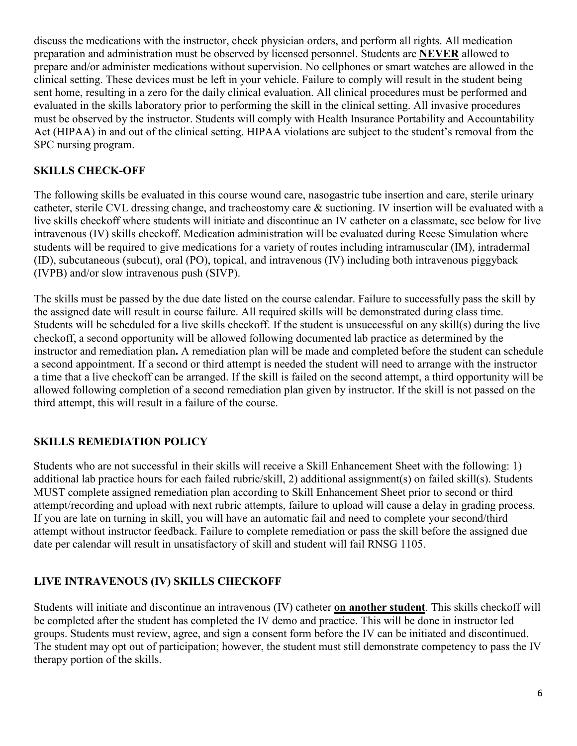discuss the medications with the instructor, check physician orders, and perform all rights. All medication preparation and administration must be observed by licensed personnel. Students are **NEVER** allowed to prepare and/or administer medications without supervision. No cellphones or smart watches are allowed in the clinical setting. These devices must be left in your vehicle. Failure to comply will result in the student being sent home, resulting in a zero for the daily clinical evaluation. All clinical procedures must be performed and evaluated in the skills laboratory prior to performing the skill in the clinical setting. All invasive procedures must be observed by the instructor. Students will comply with Health Insurance Portability and Accountability Act (HIPAA) in and out of the clinical setting. HIPAA violations are subject to the student's removal from the SPC nursing program.

## **SKILLS CHECK-OFF**

The following skills be evaluated in this course wound care, nasogastric tube insertion and care, sterile urinary catheter, sterile CVL dressing change, and tracheostomy care & suctioning. IV insertion will be evaluated with a live skills checkoff where students will initiate and discontinue an IV catheter on a classmate, see below for live intravenous (IV) skills checkoff. Medication administration will be evaluated during Reese Simulation where students will be required to give medications for a variety of routes including intramuscular (IM), intradermal (ID), subcutaneous (subcut), oral (PO), topical, and intravenous (IV) including both intravenous piggyback (IVPB) and/or slow intravenous push (SIVP).

The skills must be passed by the due date listed on the course calendar. Failure to successfully pass the skill by the assigned date will result in course failure. All required skills will be demonstrated during class time. Students will be scheduled for a live skills checkoff. If the student is unsuccessful on any skill(s) during the live checkoff, a second opportunity will be allowed following documented lab practice as determined by the instructor and remediation plan**.** A remediation plan will be made and completed before the student can schedule a second appointment. If a second or third attempt is needed the student will need to arrange with the instructor a time that a live checkoff can be arranged. If the skill is failed on the second attempt, a third opportunity will be allowed following completion of a second remediation plan given by instructor. If the skill is not passed on the third attempt, this will result in a failure of the course.

### **SKILLS REMEDIATION POLICY**

Students who are not successful in their skills will receive a Skill Enhancement Sheet with the following: 1) additional lab practice hours for each failed rubric/skill, 2) additional assignment(s) on failed skill(s). Students MUST complete assigned remediation plan according to Skill Enhancement Sheet prior to second or third attempt/recording and upload with next rubric attempts, failure to upload will cause a delay in grading process. If you are late on turning in skill, you will have an automatic fail and need to complete your second/third attempt without instructor feedback. Failure to complete remediation or pass the skill before the assigned due date per calendar will result in unsatisfactory of skill and student will fail RNSG 1105.

# **LIVE INTRAVENOUS (IV) SKILLS CHECKOFF**

Students will initiate and discontinue an intravenous (IV) catheter **on another student**. This skills checkoff will be completed after the student has completed the IV demo and practice. This will be done in instructor led groups. Students must review, agree, and sign a consent form before the IV can be initiated and discontinued. The student may opt out of participation; however, the student must still demonstrate competency to pass the IV therapy portion of the skills.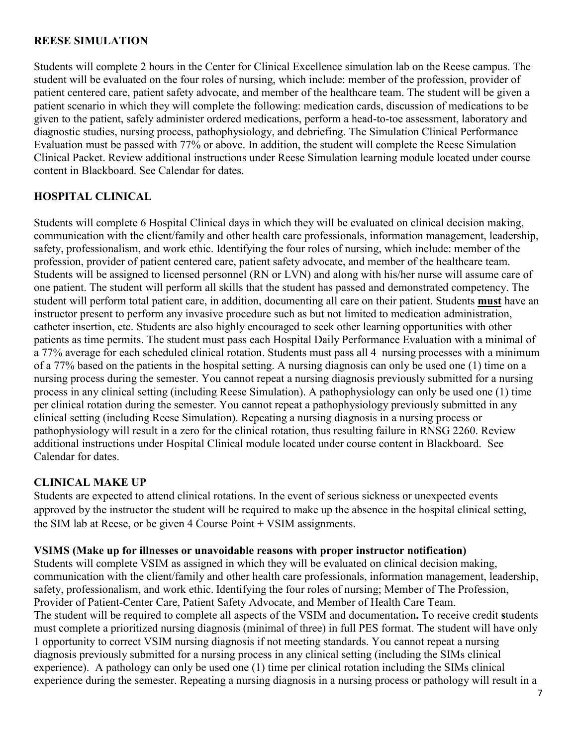#### **REESE SIMULATION**

Students will complete 2 hours in the Center for Clinical Excellence simulation lab on the Reese campus. The student will be evaluated on the four roles of nursing, which include: member of the profession, provider of patient centered care, patient safety advocate, and member of the healthcare team. The student will be given a patient scenario in which they will complete the following: medication cards, discussion of medications to be given to the patient, safely administer ordered medications, perform a head-to-toe assessment, laboratory and diagnostic studies, nursing process, pathophysiology, and debriefing. The Simulation Clinical Performance Evaluation must be passed with 77% or above. In addition, the student will complete the Reese Simulation Clinical Packet. Review additional instructions under Reese Simulation learning module located under course content in Blackboard. See Calendar for dates.

#### **HOSPITAL CLINICAL**

Students will complete 6 Hospital Clinical days in which they will be evaluated on clinical decision making, communication with the client/family and other health care professionals, information management, leadership, safety, professionalism, and work ethic. Identifying the four roles of nursing, which include: member of the profession, provider of patient centered care, patient safety advocate, and member of the healthcare team. Students will be assigned to licensed personnel (RN or LVN) and along with his/her nurse will assume care of one patient. The student will perform all skills that the student has passed and demonstrated competency. The student will perform total patient care, in addition, documenting all care on their patient. Students **must** have an instructor present to perform any invasive procedure such as but not limited to medication administration, catheter insertion, etc. Students are also highly encouraged to seek other learning opportunities with other patients as time permits. The student must pass each Hospital Daily Performance Evaluation with a minimal of a 77% average for each scheduled clinical rotation. Students must pass all 4 nursing processes with a minimum of a 77% based on the patients in the hospital setting. A nursing diagnosis can only be used one (1) time on a nursing process during the semester. You cannot repeat a nursing diagnosis previously submitted for a nursing process in any clinical setting (including Reese Simulation). A pathophysiology can only be used one (1) time per clinical rotation during the semester. You cannot repeat a pathophysiology previously submitted in any clinical setting (including Reese Simulation). Repeating a nursing diagnosis in a nursing process or pathophysiology will result in a zero for the clinical rotation, thus resulting failure in RNSG 2260. Review additional instructions under Hospital Clinical module located under course content in Blackboard. See Calendar for dates.

#### **CLINICAL MAKE UP**

Students are expected to attend clinical rotations. In the event of serious sickness or unexpected events approved by the instructor the student will be required to make up the absence in the hospital clinical setting, the SIM lab at Reese, or be given 4 Course Point + VSIM assignments.

#### **VSIMS (Make up for illnesses or unavoidable reasons with proper instructor notification)**

Students will complete VSIM as assigned in which they will be evaluated on clinical decision making, communication with the client/family and other health care professionals, information management, leadership, safety, professionalism, and work ethic. Identifying the four roles of nursing; Member of The Profession, Provider of Patient-Center Care, Patient Safety Advocate, and Member of Health Care Team. The student will be required to complete all aspects of the VSIM and documentation**.** To receive credit **s**tudents must complete a prioritized nursing diagnosis (minimal of three) in full PES format. The student will have only 1 opportunity to correct VSIM nursing diagnosis if not meeting standards. You cannot repeat a nursing diagnosis previously submitted for a nursing process in any clinical setting (including the SIMs clinical experience). A pathology can only be used one (1) time per clinical rotation including the SIMs clinical experience during the semester. Repeating a nursing diagnosis in a nursing process or pathology will result in a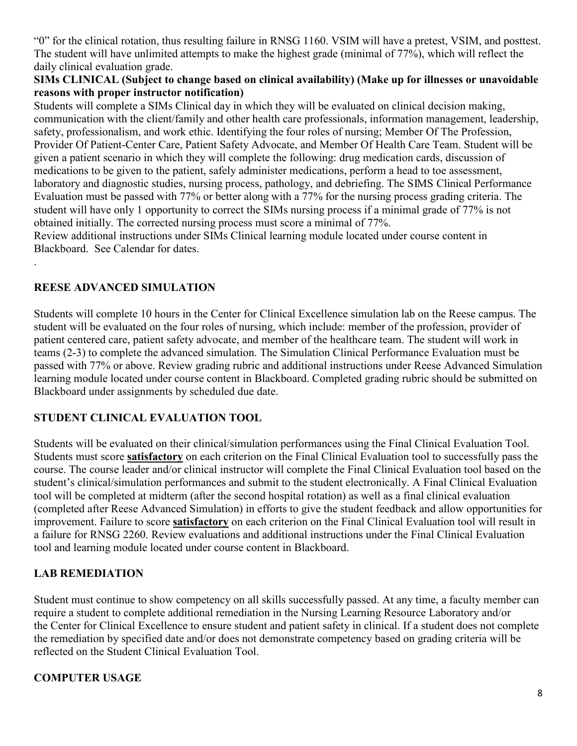"0" for the clinical rotation, thus resulting failure in RNSG 1160. VSIM will have a pretest, VSIM, and posttest. The student will have unlimited attempts to make the highest grade (minimal of 77%), which will reflect the daily clinical evaluation grade.

#### **SIMs CLINICAL (Subject to change based on clinical availability) (Make up for illnesses or unavoidable reasons with proper instructor notification)**

Students will complete a SIMs Clinical day in which they will be evaluated on clinical decision making, communication with the client/family and other health care professionals, information management, leadership, safety, professionalism, and work ethic. Identifying the four roles of nursing; Member Of The Profession, Provider Of Patient-Center Care, Patient Safety Advocate, and Member Of Health Care Team. Student will be given a patient scenario in which they will complete the following: drug medication cards, discussion of medications to be given to the patient, safely administer medications, perform a head to toe assessment, laboratory and diagnostic studies, nursing process, pathology, and debriefing. The SIMS Clinical Performance Evaluation must be passed with 77% or better along with a 77% for the nursing process grading criteria. The student will have only 1 opportunity to correct the SIMs nursing process if a minimal grade of 77% is not obtained initially. The corrected nursing process must score a minimal of 77%.

Review additional instructions under SIMs Clinical learning module located under course content in Blackboard. See Calendar for dates.

## **REESE ADVANCED SIMULATION**

.

Students will complete 10 hours in the Center for Clinical Excellence simulation lab on the Reese campus. The student will be evaluated on the four roles of nursing, which include: member of the profession, provider of patient centered care, patient safety advocate, and member of the healthcare team. The student will work in teams (2-3) to complete the advanced simulation. The Simulation Clinical Performance Evaluation must be passed with 77% or above. Review grading rubric and additional instructions under Reese Advanced Simulation learning module located under course content in Blackboard. Completed grading rubric should be submitted on Blackboard under assignments by scheduled due date.

# **STUDENT CLINICAL EVALUATION TOOL**

Students will be evaluated on their clinical/simulation performances using the Final Clinical Evaluation Tool. Students must score **satisfactory** on each criterion on the Final Clinical Evaluation tool to successfully pass the course. The course leader and/or clinical instructor will complete the Final Clinical Evaluation tool based on the student's clinical/simulation performances and submit to the student electronically. A Final Clinical Evaluation tool will be completed at midterm (after the second hospital rotation) as well as a final clinical evaluation (completed after Reese Advanced Simulation) in efforts to give the student feedback and allow opportunities for improvement. Failure to score **satisfactory** on each criterion on the Final Clinical Evaluation tool will result in a failure for RNSG 2260. Review evaluations and additional instructions under the Final Clinical Evaluation tool and learning module located under course content in Blackboard.

### **LAB REMEDIATION**

Student must continue to show competency on all skills successfully passed. At any time, a faculty member can require a student to complete additional remediation in the Nursing Learning Resource Laboratory and/or the Center for Clinical Excellence to ensure student and patient safety in clinical. If a student does not complete the remediation by specified date and/or does not demonstrate competency based on grading criteria will be reflected on the Student Clinical Evaluation Tool.

### **COMPUTER USAGE**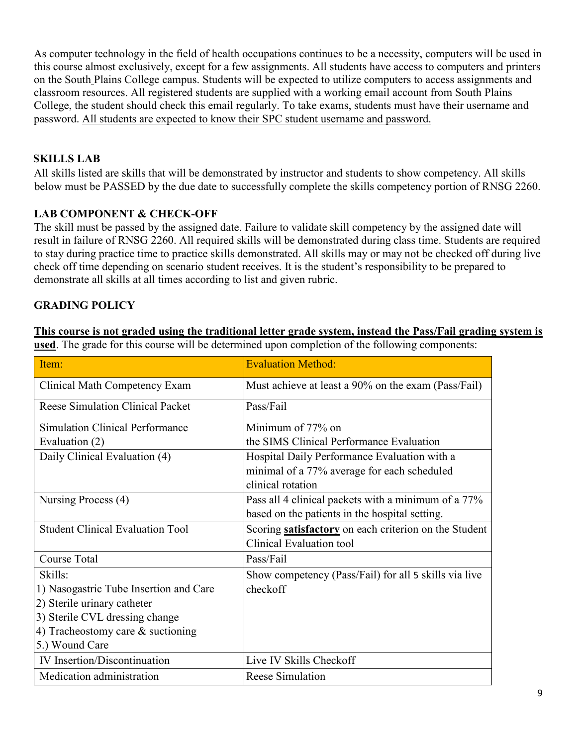As computer technology in the field of health occupations continues to be a necessity, computers will be used in this course almost exclusively, except for a few assignments. All students have access to computers and printers on the South Plains College campus. Students will be expected to utilize computers to access assignments and classroom resources. All registered students are supplied with a working email account from South Plains College, the student should check this email regularly. To take exams, students must have their username and password. All students are expected to know their SPC student username and password.

### **SKILLS LAB**

All skills listed are skills that will be demonstrated by instructor and students to show competency. All skills below must be PASSED by the due date to successfully complete the skills competency portion of RNSG 2260.

## **LAB COMPONENT & CHECK-OFF**

The skill must be passed by the assigned date. Failure to validate skill competency by the assigned date will result in failure of RNSG 2260. All required skills will be demonstrated during class time. Students are required to stay during practice time to practice skills demonstrated. All skills may or may not be checked off during live check off time depending on scenario student receives. It is the student's responsibility to be prepared to demonstrate all skills at all times according to list and given rubric.

# **GRADING POLICY**

**This course is not graded using the traditional letter grade system, instead the Pass/Fail grading system is used**. The grade for this course will be determined upon completion of the following components:

| Item:                                   | <b>Evaluation Method:</b>                                                                                        |
|-----------------------------------------|------------------------------------------------------------------------------------------------------------------|
| Clinical Math Competency Exam           | Must achieve at least a 90% on the exam (Pass/Fail)                                                              |
| <b>Reese Simulation Clinical Packet</b> | Pass/Fail                                                                                                        |
| <b>Simulation Clinical Performance</b>  | Minimum of 77% on                                                                                                |
| Evaluation (2)                          | the SIMS Clinical Performance Evaluation                                                                         |
| Daily Clinical Evaluation (4)           | Hospital Daily Performance Evaluation with a<br>minimal of a 77% average for each scheduled<br>clinical rotation |
| Nursing Process (4)                     | Pass all 4 clinical packets with a minimum of a 77%<br>based on the patients in the hospital setting.            |
| <b>Student Clinical Evaluation Tool</b> | Scoring satisfactory on each criterion on the Student<br><b>Clinical Evaluation tool</b>                         |
| <b>Course Total</b>                     | Pass/Fail                                                                                                        |
| Skills:                                 | Show competency (Pass/Fail) for all 5 skills via live                                                            |
| 1) Nasogastric Tube Insertion and Care  | checkoff                                                                                                         |
| 2) Sterile urinary catheter             |                                                                                                                  |
| 3) Sterile CVL dressing change          |                                                                                                                  |
| 4) Tracheostomy care $&$ suctioning     |                                                                                                                  |
| 5.) Wound Care                          |                                                                                                                  |
| <b>IV</b> Insertion/Discontinuation     | Live IV Skills Checkoff                                                                                          |
| Medication administration               | <b>Reese Simulation</b>                                                                                          |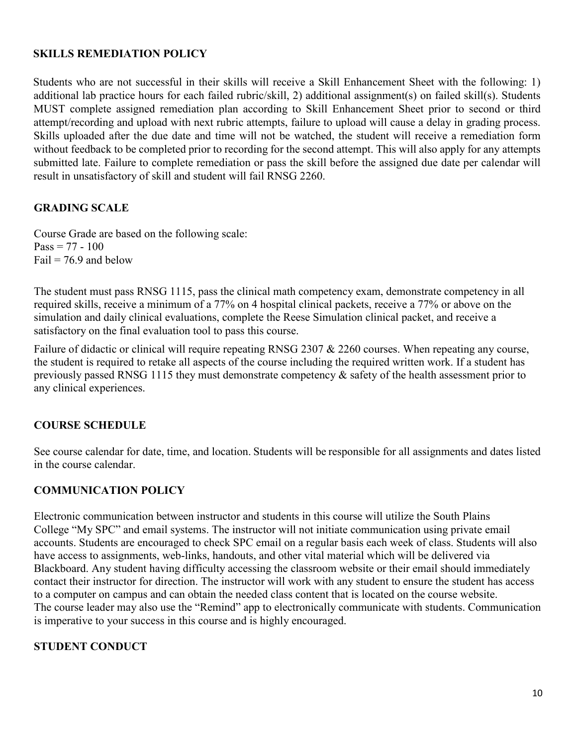#### **SKILLS REMEDIATION POLICY**

Students who are not successful in their skills will receive a Skill Enhancement Sheet with the following: 1) additional lab practice hours for each failed rubric/skill, 2) additional assignment(s) on failed skill(s). Students MUST complete assigned remediation plan according to Skill Enhancement Sheet prior to second or third attempt/recording and upload with next rubric attempts, failure to upload will cause a delay in grading process. Skills uploaded after the due date and time will not be watched, the student will receive a remediation form without feedback to be completed prior to recording for the second attempt. This will also apply for any attempts submitted late. Failure to complete remediation or pass the skill before the assigned due date per calendar will result in unsatisfactory of skill and student will fail RNSG 2260.

#### **GRADING SCALE**

Course Grade are based on the following scale:  $Pass = 77 - 100$ Fail  $= 76.9$  and below

The student must pass RNSG 1115, pass the clinical math competency exam, demonstrate competency in all required skills, receive a minimum of a 77% on 4 hospital clinical packets, receive a 77% or above on the simulation and daily clinical evaluations, complete the Reese Simulation clinical packet, and receive a satisfactory on the final evaluation tool to pass this course.

Failure of didactic or clinical will require repeating RNSG 2307 & 2260 courses. When repeating any course, the student is required to retake all aspects of the course including the required written work. If a student has previously passed RNSG 1115 they must demonstrate competency & safety of the health assessment prior to any clinical experiences.

#### **COURSE SCHEDULE**

See course calendar for date, time, and location. Students will be responsible for all assignments and dates listed in the course calendar.

#### **COMMUNICATION POLICY**

Electronic communication between instructor and students in this course will utilize the South Plains College "My SPC" and email systems. The instructor will not initiate communication using private email accounts. Students are encouraged to check SPC email on a regular basis each week of class. Students will also have access to assignments, web-links, handouts, and other vital material which will be delivered via Blackboard. Any student having difficulty accessing the classroom website or their email should immediately contact their instructor for direction. The instructor will work with any student to ensure the student has access to a computer on campus and can obtain the needed class content that is located on the course website. The course leader may also use the "Remind" app to electronically communicate with students. Communication is imperative to your success in this course and is highly encouraged.

#### **STUDENT CONDUCT**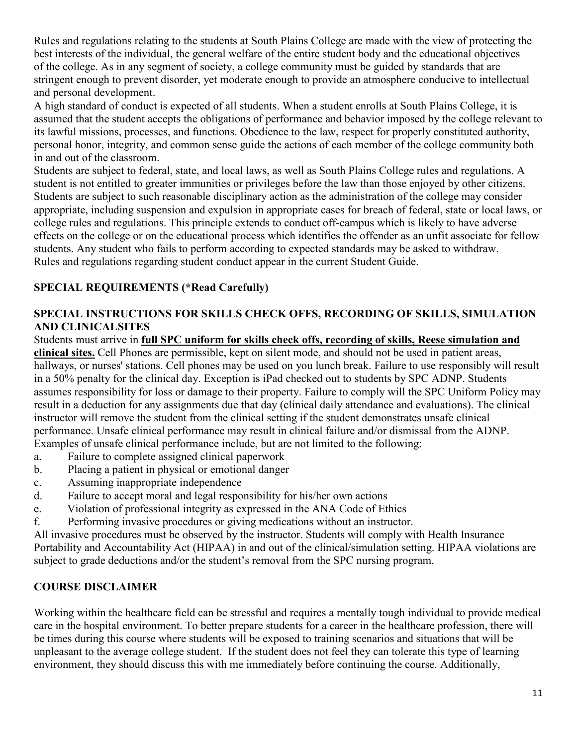Rules and regulations relating to the students at South Plains College are made with the view of protecting the best interests of the individual, the general welfare of the entire student body and the educational objectives of the college. As in any segment of society, a college community must be guided by standards that are stringent enough to prevent disorder, yet moderate enough to provide an atmosphere conducive to intellectual and personal development.

A high standard of conduct is expected of all students. When a student enrolls at South Plains College, it is assumed that the student accepts the obligations of performance and behavior imposed by the college relevant to its lawful missions, processes, and functions. Obedience to the law, respect for properly constituted authority, personal honor, integrity, and common sense guide the actions of each member of the college community both in and out of the classroom.

Students are subject to federal, state, and local laws, as well as South Plains College rules and regulations. A student is not entitled to greater immunities or privileges before the law than those enjoyed by other citizens. Students are subject to such reasonable disciplinary action as the administration of the college may consider appropriate, including suspension and expulsion in appropriate cases for breach of federal, state or local laws, or college rules and regulations. This principle extends to conduct off-campus which is likely to have adverse effects on the college or on the educational process which identifies the offender as an unfit associate for fellow students. Any student who fails to perform according to expected standards may be asked to withdraw. Rules and regulations regarding student conduct appear in the current Student Guide.

# **SPECIAL REQUIREMENTS (\*Read Carefully)**

### **SPECIAL INSTRUCTIONS FOR SKILLS CHECK OFFS, RECORDING OF SKILLS, SIMULATION AND CLINICALSITES**

Students must arrive in **full SPC uniform for skills check offs, recording of skills, Reese simulation and clinical sites.** Cell Phones are permissible, kept on silent mode, and should not be used in patient areas, hallways, or nurses' stations. Cell phones may be used on you lunch break. Failure to use responsibly will result in a 50% penalty for the clinical day. Exception is iPad checked out to students by SPC ADNP. Students assumes responsibility for loss or damage to their property. Failure to comply will the SPC Uniform Policy may result in a deduction for any assignments due that day (clinical daily attendance and evaluations). The clinical instructor will remove the student from the clinical setting if the student demonstrates unsafe clinical performance. Unsafe clinical performance may result in clinical failure and/or dismissal from the ADNP. Examples of unsafe clinical performance include, but are not limited to the following:

- a. Failure to complete assigned clinical paperwork
- b. Placing a patient in physical or emotional danger
- c. Assuming inappropriate independence
- d. Failure to accept moral and legal responsibility for his/her own actions
- e. Violation of professional integrity as expressed in the ANA Code of Ethics
- f. Performing invasive procedures or giving medications without an instructor.

All invasive procedures must be observed by the instructor. Students will comply with Health Insurance Portability and Accountability Act (HIPAA) in and out of the clinical/simulation setting. HIPAA violations are subject to grade deductions and/or the student's removal from the SPC nursing program.

# **COURSE DISCLAIMER**

Working within the healthcare field can be stressful and requires a mentally tough individual to provide medical care in the hospital environment. To better prepare students for a career in the healthcare profession, there will be times during this course where students will be exposed to training scenarios and situations that will be unpleasant to the average college student. If the student does not feel they can tolerate this type of learning environment, they should discuss this with me immediately before continuing the course. Additionally,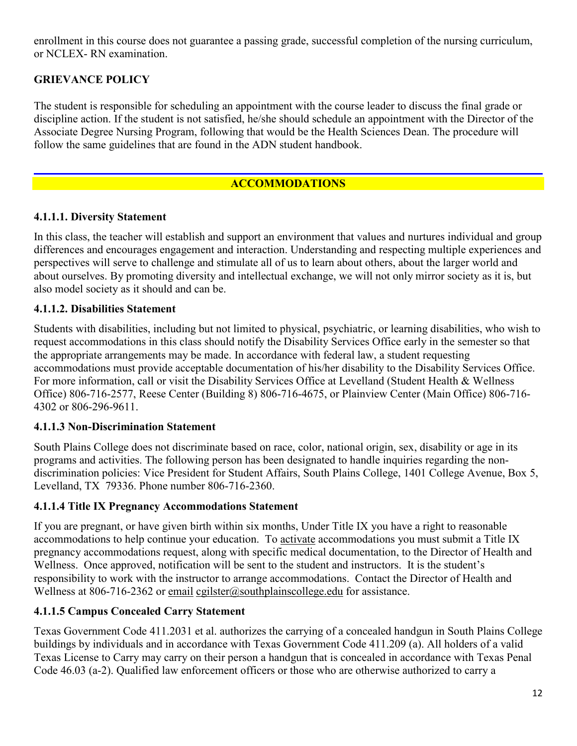enrollment in this course does not guarantee a passing grade, successful completion of the nursing curriculum, or NCLEX- RN examination.

## **GRIEVANCE POLICY**

The student is responsible for scheduling an appointment with the course leader to discuss the final grade or discipline action. If the student is not satisfied, he/she should schedule an appointment with the Director of the Associate Degree Nursing Program, following that would be the Health Sciences Dean. The procedure will follow the same guidelines that are found in the ADN student handbook.

# **ACCOMMODATIONS**

### **4.1.1.1. Diversity Statement**

In this class, the teacher will establish and support an environment that values and nurtures individual and group differences and encourages engagement and interaction. Understanding and respecting multiple experiences and perspectives will serve to challenge and stimulate all of us to learn about others, about the larger world and about ourselves. By promoting diversity and intellectual exchange, we will not only mirror society as it is, but also model society as it should and can be.

#### **4.1.1.2. Disabilities Statement**

Students with disabilities, including but not limited to physical, psychiatric, or learning disabilities, who wish to request accommodations in this class should notify the Disability Services Office early in the semester so that the appropriate arrangements may be made. In accordance with federal law, a student requesting accommodations must provide acceptable documentation of his/her disability to the Disability Services Office. For more information, call or visit the Disability Services Office at Levelland (Student Health & Wellness Office) 806-716-2577, Reese Center (Building 8) 806-716-4675, or Plainview Center (Main Office) 806-716- 4302 or 806-296-9611.

#### **4.1.1.3 Non-Discrimination Statement**

South Plains College does not discriminate based on race, color, national origin, sex, disability or age in its programs and activities. The following person has been designated to handle inquiries regarding the nondiscrimination policies: Vice President for Student Affairs, South Plains College, 1401 College Avenue, Box 5, Levelland, TX 79336. Phone number 806-716-2360.

#### **4.1.1.4 Title IX Pregnancy Accommodations Statement**

If you are pregnant, or have given birth within six months, Under Title IX you have a right to reasonable accommodations to help continue your education. To [activate](http://www.southplainscollege.edu/employees/manualshandbooks/facultyhandbook/sec4.php) accommodations you must submit a Title IX pregnancy accommodations request, along with specific medical documentation, to the Director of Health and Wellness. Once approved, notification will be sent to the student and instructors. It is the student's responsibility to work with the instructor to arrange accommodations. Contact the Director of Health and Wellness at 806-716-2362 or [email](http://www.southplainscollege.edu/employees/manualshandbooks/facultyhandbook/sec4.php) [cgilster@southplainscollege.edu](mailto:cgilster@southplainscollege.edu) for assistance.

### **4.1.1.5 Campus [Concealed Carry](http://www.southplainscollege.edu/employees/manualshandbooks/facultyhandbook/sec4.php) Statement**

Texas Government Code 411.2031 et al. authorizes the carrying of a concealed handgun in South Plains College buildings by individuals and in accordance with Texas Government Code 411.209 (a). All holders of a valid Texas License to Carry may carry on their person a handgun that is concealed in accordance with Texas Penal Code 46.03 (a-2). Qualified law enforcement officers or those who are otherwise authorized to carry a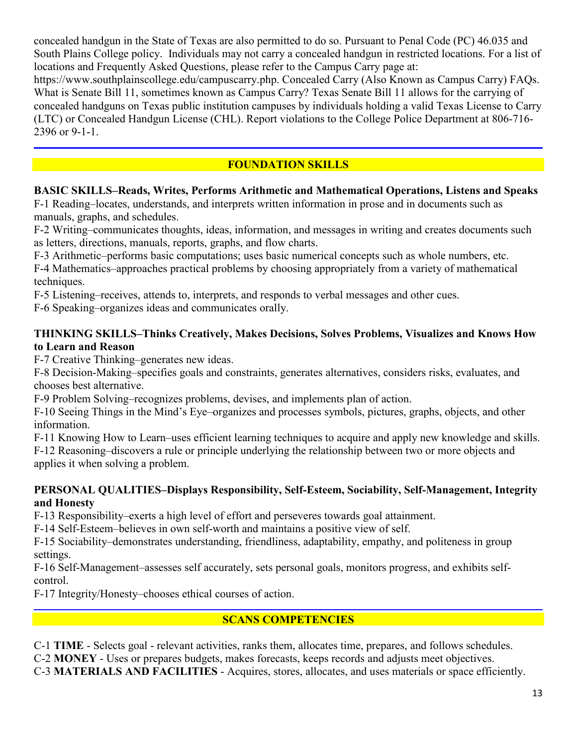concealed handgun in the State of Texas are also permitted to do so. Pursuant to Penal Code (PC) 46.035 and South Plains College policy. Individuals may not carry a concealed handgun in restricted locations. For a list of locations and Frequently Asked Questions, please refer to the Campus Carry page at:

https://www.southplainscollege.edu/campuscarry.php. Concealed Carry (Also Known as Campus Carry) FAQs. What is Senate Bill 11, sometimes known as Campus Carry? Texas Senate Bill 11 allows for the carrying of concealed handguns on Texas public institution campuses by individuals holding a valid Texas License to Carry (LTC) or Concealed Handgun License (CHL). Report violations to the College Police Department at 806-716- 2396 or 9-1-1.

# **FOUNDATION SKILLS**

# **BASIC SKILLS–Reads, Writes, Performs Arithmetic and Mathematical Operations, Listens and Speaks**

F-1 Reading–locates, understands, and interprets written information in prose and in documents such as manuals, graphs, and schedules.

F-2 Writing–communicates thoughts, ideas, information, and messages in writing and creates documents such as letters, directions, manuals, reports, graphs, and flow charts.

F-3 Arithmetic–performs basic computations; uses basic numerical concepts such as whole numbers, etc.

F-4 Mathematics–approaches practical problems by choosing appropriately from a variety of mathematical techniques.

F-5 Listening–receives, attends to, interprets, and responds to verbal messages and other cues.

F-6 Speaking–organizes ideas and communicates orally.

### **THINKING SKILLS–Thinks Creatively, Makes Decisions, Solves Problems, Visualizes and Knows How to Learn and Reason**

F-7 Creative Thinking–generates new ideas.

F-8 Decision-Making–specifies goals and constraints, generates alternatives, considers risks, evaluates, and chooses best alternative.

F-9 Problem Solving–recognizes problems, devises, and implements plan of action.

F-10 Seeing Things in the Mind's Eye–organizes and processes symbols, pictures, graphs, objects, and other information.

F-11 Knowing How to Learn–uses efficient learning techniques to acquire and apply new knowledge and skills. F-12 Reasoning–discovers a rule or principle underlying the relationship between two or more objects and applies it when solving a problem.

### **PERSONAL QUALITIES–Displays Responsibility, Self-Esteem, Sociability, Self-Management, Integrity and Honesty**

F-13 Responsibility–exerts a high level of effort and perseveres towards goal attainment.

F-14 Self-Esteem–believes in own self-worth and maintains a positive view of self.

F-15 Sociability–demonstrates understanding, friendliness, adaptability, empathy, and politeness in group settings.

F-16 Self-Management–assesses self accurately, sets personal goals, monitors progress, and exhibits selfcontrol.

F-17 Integrity/Honesty–chooses ethical courses of action.

# **SCANS COMPETENCIES**

C-1 **TIME** - Selects goal - relevant activities, ranks them, allocates time, prepares, and follows schedules.

C-2 **MONEY** - Uses or prepares budgets, makes forecasts, keeps records and adjusts meet objectives.

C-3 **MATERIALS AND FACILITIES** - Acquires, stores, allocates, and uses materials or space efficiently.